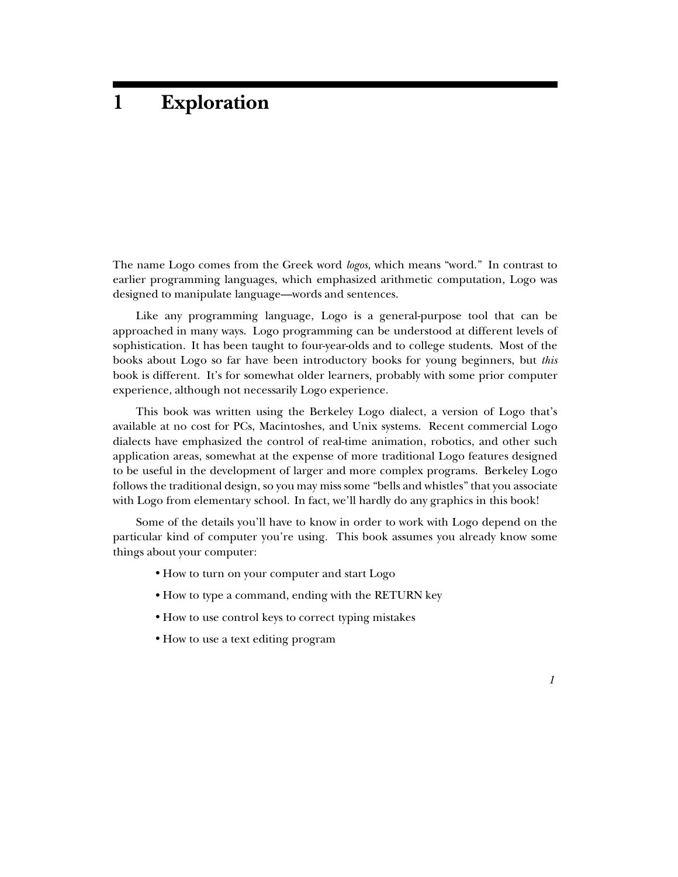# **1 Exploration**

The name Logo comes from the Greek word *logos,* which means "word." In contrast to earlier programming languages, which emphasized arithmetic computation, Logo was designed to manipulate language—words and sentences.

books about Logo so far have been introductory books for young beginners, but *this* Like any programming language, Logo is a general-purpose tool that can be approached in many ways. Logo programming can be understood at different levels of sophistication. It has been taught to four-year-olds and to college students. Most of the book is different. It's for somewhat older learners, probably with some prior computer experience, although not necessarily Logo experience.

This book was written using the Berkeley Logo dialect, a version of Logo that's available at no cost for PCs, Macintoshes, and Unix systems. Recent commercial Logo dialects have emphasized the control of real-time animation, robotics, and other such application areas, somewhat at the expense of more traditional Logo features designed to be useful in the development of larger and more complex programs. Berkeley Logo follows the traditional design, so you may miss some "bells and whistles" that you associate with Logo from elementary school. In fact, we'll hardly do any graphics in this book!

Some of the details you'll have to know in order to work with Logo depend on the particular kind of computer you're using. This book assumes you already know some things about your computer:

- How to turn on your computer and start Logo
- How to type a command, ending with the RETURN key
- How to use control keys to correct typing mistakes
- How to use a text editing program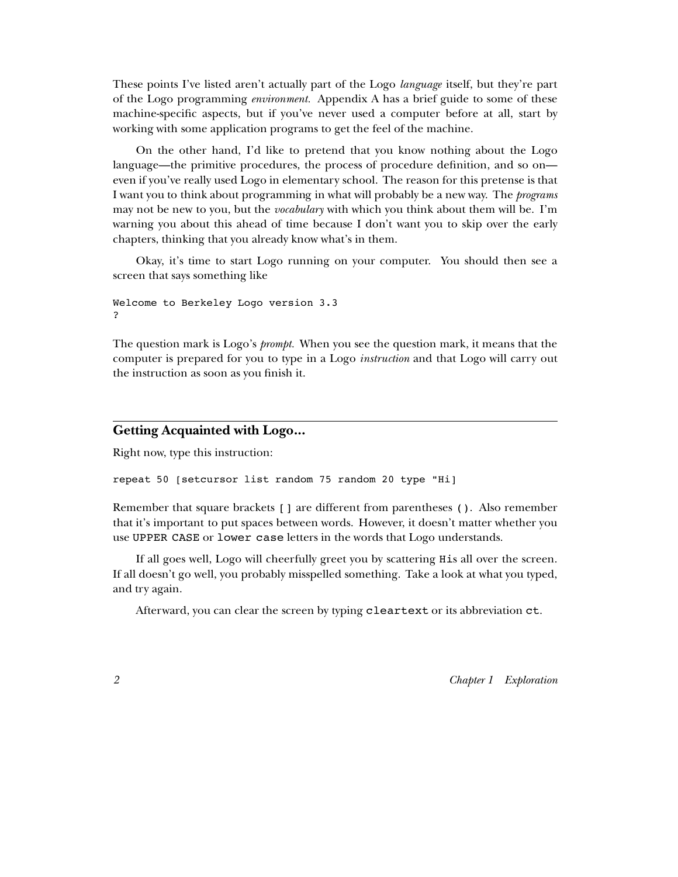These points I've listed aren't actually part of the Logo *language* itself, but they're part of the Logo programming *environment*. Appendix A has a brief guide to some of these machine-specific aspects, but if you've never used a computer before at all, start by working with some application programs to get the feel of the machine.

I want you to think about programming in what will probably be a new way. The *programs* may not be new to you, but the *vocabulary* with which you think about them will be. I'm On the other hand, I'd like to pretend that you know nothing about the Logo language—the primitive procedures, the process of procedure definition, and so on even if you've really used Logo in elementary school. The reason for this pretense is that warning you about this ahead of time because I don't want you to skip over the early chapters, thinking that you already know what's in them.

Okay, it's time to start Logo running on your computer. You should then see a screen that says something like

```
Welcome to Berkeley Logo version 3.3
?
```
The question mark is Logo's *prompt*. When you see the question mark, it means that the computer is prepared for you to type in a Logo *instruction* and that Logo will carry out the instruction as soon as you finish it.

## **Getting Acquainted with Logo...**

Right now, type this instruction:

```
repeat 50 [setcursor list random 75 random 20 type "Hi]
```
Remember that square brackets [ ] are different from parentheses ( ). Also remember use UPPER CASE or lower case letters in the words that Logo understands. that it's important to put spaces between words. However, it doesn't matter whether you

If all goes well, Logo will cheerfully greet you by scattering His all over the screen. If all doesn't go well, you probably misspelled something. Take a look at what you typed, and try again.

Afterward, you can clear the screen by typing cleartext or its abbreviation ct.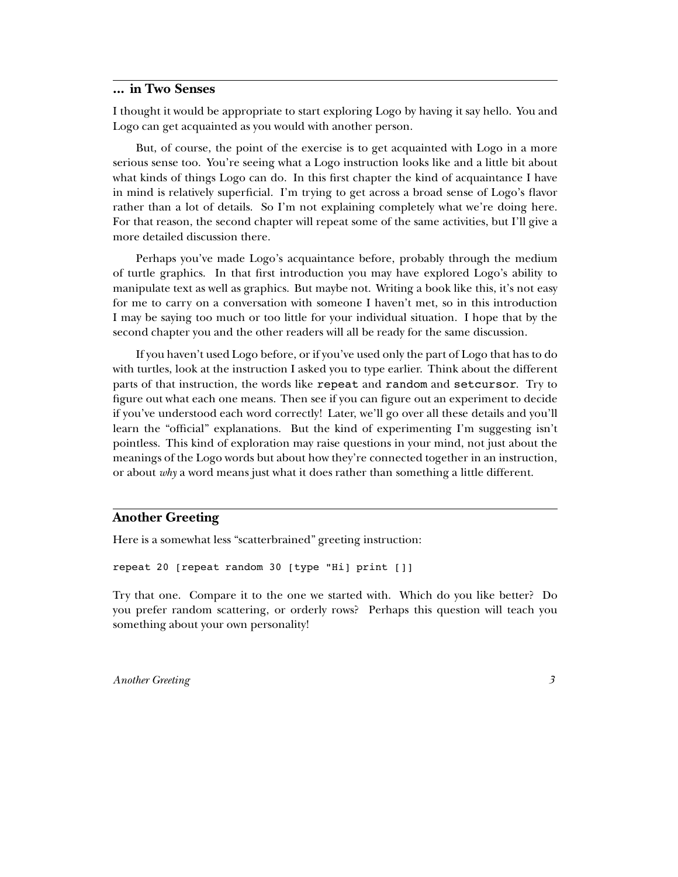## **... in Two Senses**

I thought it would be appropriate to start exploring Logo by having it say hello. You and Logo can get acquainted as you would with another person.

But, of course, the point of the exercise is to get acquainted with Logo in a more serious sense too. You're seeing what a Logo instruction looks like and a little bit about what kinds of things Logo can do. In this first chapter the kind of acquaintance I have in mind is relatively superficial. I'm trying to get across a broad sense of Logo's flavor rather than a lot of details. So I'm not explaining completely what we're doing here. For that reason, the second chapter will repeat some of the same activities, but I'll give a more detailed discussion there.

Perhaps you've made Logo's acquaintance before, probably through the medium of turtle graphics. In that first introduction you may have explored Logo's ability to manipulate text as well as graphics. But maybe not. Writing a book like this, it's not easy for me to carry on a conversation with someone I haven't met, so in this introduction I may be saying too much or too little for your individual situation. I hope that by the second chapter you and the other readers will all be ready for the same discussion.

or about why a word means just what it does rather than something a little different. parts of that instruction, the words like repeat and random and setcursor. Try to If you haven't used Logo before, or if you've used only the part of Logo that has to do with turtles, look at the instruction I asked you to type earlier. Think about the different figure out what each one means. Then see if you can figure out an experiment to decide if you've understood each word correctly! Later, we'll go over all these details and you'll learn the "official" explanations. But the kind of experimenting I'm suggesting isn't pointless. This kind of exploration may raise questions in your mind, not just about the meanings of the Logo words but about how they're connected together in an instruction,

### **Another Greeting**

Here is a somewhat less "scatterbrained" greeting instruction:

repeat 20 [repeat random 30 [type "Hi] print []]

Try that one. Compare it to the one we started with. Which do you like better? Do you prefer random scattering, or orderly rows? Perhaps this question will teach you something about your own personality!

*Another Greeting 3*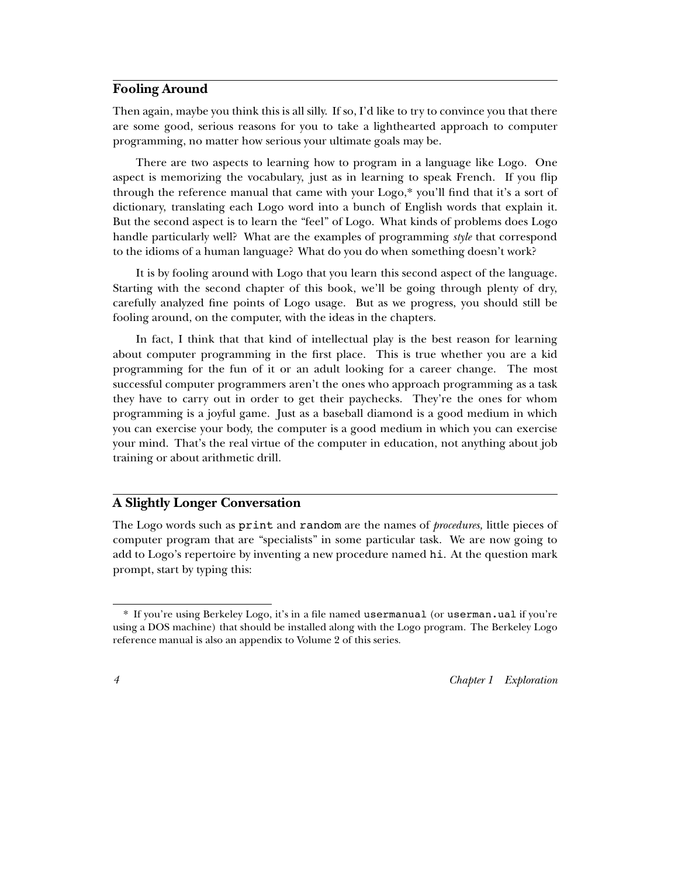## **Fooling Around**

Then again, maybe you think this is all silly. If so, I'd like to try to convince you that there are some good, serious reasons for you to take a lighthearted approach to computer programming, no matter how serious your ultimate goals may be.

handle particularly well? What are the examples of programming *style* that correspond There are two aspects to learning how to program in a language like Logo. One aspect is memorizing the vocabulary, just as in learning to speak French. If you flip through the reference manual that came with your Logo,\* you'll find that it's a sort of dictionary, translating each Logo word into a bunch of English words that explain it. But the second aspect is to learn the "feel" of Logo. What kinds of problems does Logo to the idioms of a human language? What do you do when something doesn't work?

It is by fooling around with Logo that you learn this second aspect of the language. Starting with the second chapter of this book, we'll be going through plenty of dry, carefully analyzed fine points of Logo usage. But as we progress, you should still be fooling around, on the computer, with the ideas in the chapters.

In fact, I think that that kind of intellectual play is the best reason for learning about computer programming in the first place. This is true whether you are a kid programming for the fun of it or an adult looking for a career change. The most successful computer programmers aren't the ones who approach programming as a task they have to carry out in order to get their paychecks. They're the ones for whom programming is a joyful game. Just as a baseball diamond is a good medium in which you can exercise your body, the computer is a good medium in which you can exercise your mind. That's the real virtue of the computer in education, not anything about job training or about arithmetic drill.

### **A Slightly Longer Conversation**

The Logo words such as print and random are the names of *procedures*, little pieces of add to Logo's repertoire by inventing a new procedure named hi. At the question mark computer program that are "specialists" in some particular task. We are now going to prompt, start by typing this:

<sup>\*</sup> If you're using Berkeley Logo, it's in a file named usermanual (or userman.ual if you're using a DOS machine) that should be installed along with the Logo program. The Berkeley Logo reference manual is also an appendix to Volume 2 of this series.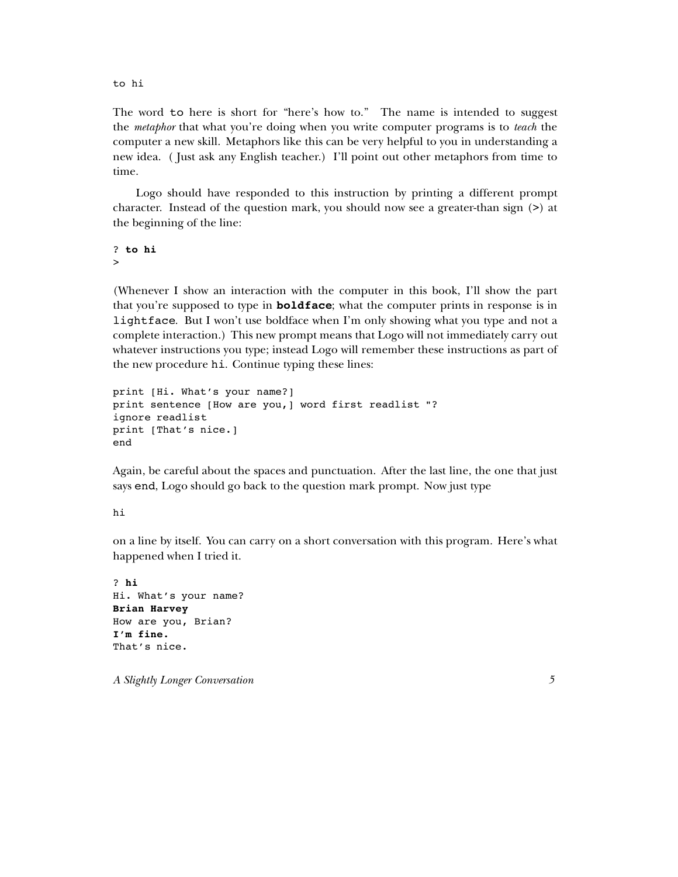to hi

The word to here is short for "here's how to." The name is intended to suggest the *metaphor* that what you're doing when you write computer programs is to teach the computer a new skill. Metaphors like this can be very helpful to you in understanding a new idea. ( Just ask any English teacher.) I'll point out other metaphors from time to time.

character. Instead of the question mark, you should now see a greater-than sign (>) at Logo should have responded to this instruction by printing a different prompt the beginning of the line:

**to hi** ? >

that you're supposed to type in **boldface**; what the computer prints in response is in lightface . But I won't use boldface when I'm only showing what you type and not a the new procedure hi. Continue typing these lines: (Whenever I show an interaction with the computer in this book, I'll show the part complete interaction.) This new prompt means that Logo will not immediately carry out whatever instructions you type; instead Logo will remember these instructions as part of

```
print [Hi. What's your name?]
print sentence [How are you,] word first readlist "?
ignore readlist
print [That's nice.]
end
```
says end, Logo should go back to the question mark prompt. Now just type Again, be careful about the spaces and punctuation. After the last line, the one that just

hi

on a line by itself. You can carry on a short conversation with this program. Here's what happened when I tried it.

**hi** ? **Brian Harvey I'm fine.** Hi. What's your name? How are you, Brian? That's nice.

*A Slightly Longer Conversation 5*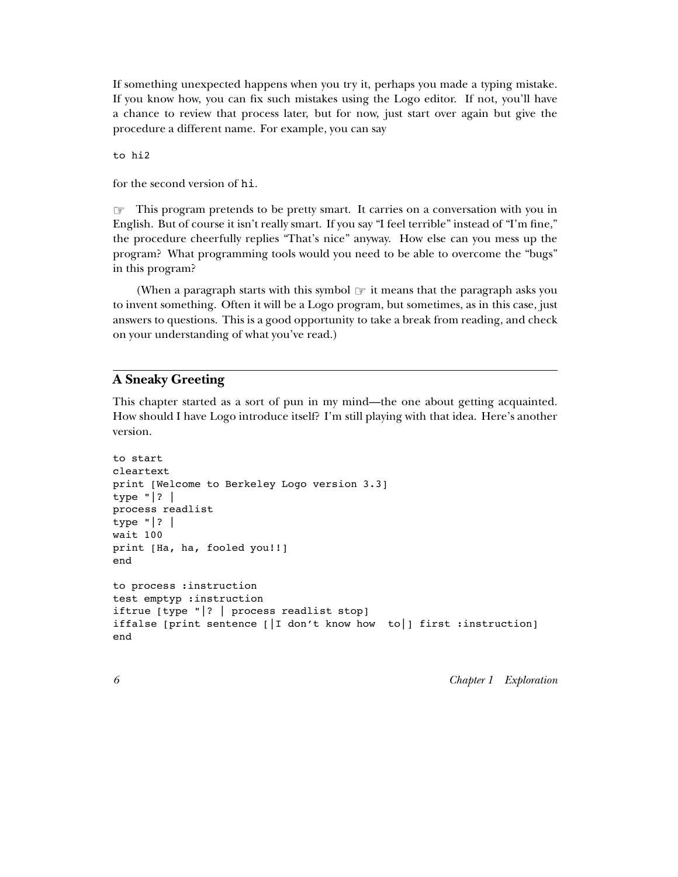If something unexpected happens when you try it, perhaps you made a typing mistake. If you know how, you can fix such mistakes using the Logo editor. If not, you'll have a chance to review that process later, but for now, just start over again but give the procedure a different name. For example, you can say

to hi2

for the second version of hi.

☞ This program pretends to be pretty smart. It carries on a conversation with you in English. But of course it isn't really smart. If you say "I feel terrible" instead of "I'm fine," the procedure cheerfully replies "That's nice" anyway. How else can you mess up the program? What programming tools would you need to be able to overcome the "bugs" in this program?

(When a paragraph starts with this symbol  $\text{d}$  it means that the paragraph asks you to invent something. Often it will be a Logo program, but sometimes, as in this case, just answers to questions. This is a good opportunity to take a break from reading, and check on your understanding of what you've read.)

## **A Sneaky Greeting**

This chapter started as a sort of pun in my mind—the one about getting acquainted. How should I have Logo introduce itself? I'm still playing with that idea. Here's another version.

```
to start
cleartext
print [Welcome to Berkeley Logo version 3.3]
type "|? |
process readlist
type "|? |
wait 100
print [Ha, ha, fooled you!!]
end
to process :instruction
test emptyp :instruction
iftrue [type "|? | process readlist stop]
iffalse [print sentence [|I don't know how to|] first :instruction]
end
```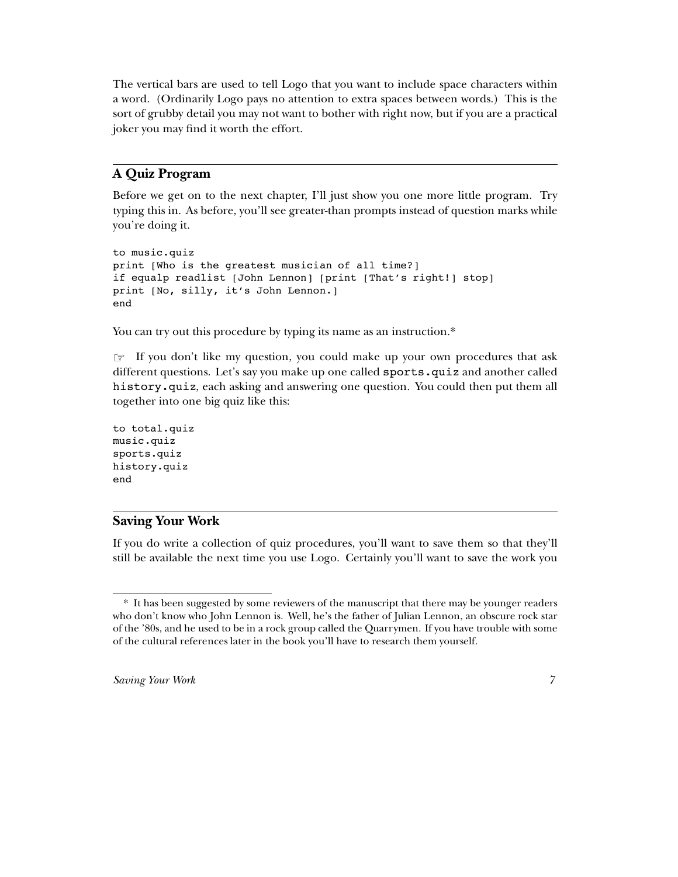The vertical bars are used to tell Logo that you want to include space characters within a word. (Ordinarily Logo pays no attention to extra spaces between words.) This is the sort of grubby detail you may not want to bother with right now, but if you are a practical joker you may find it worth the effort.

# **A Quiz Program**

Before we get on to the next chapter, I'll just show you one more little program. Try typing this in. As before, you'll see greater-than prompts instead of question marks while you're doing it.

```
to music.quiz
print [Who is the greatest musician of all time?]
if equalp readlist [John Lennon] [print [That's right!] stop]
print [No, silly, it's John Lennon.]
end
```
You can try out this procedure by typing its name as an instruction.\*

☞ If you don't like my question, you could make up your own procedures that ask different questions. Let's say you make up one called  ${\tt sports.quiz}$  and another called history.quiz, each asking and answering one question. You could then put them all together into one big quiz like this:

```
to total.quiz
music.quiz
sports.quiz
history.quiz
end
```
## **Saving Your Work**

If you do write a collection of quiz procedures, you'll want to save them so that they'll still be available the next time you use Logo. Certainly you'll want to save the work you

*Saving Your Work 7*

<sup>\*</sup> It has been suggested by some reviewers of the manuscript that there may be younger readers who don't know who John Lennon is. Well, he's the father of Julian Lennon, an obscure rock star of the '80s, and he used to be in a rock group called the Quarrymen. If you have trouble with some of the cultural references later in the book you'll have to research them yourself.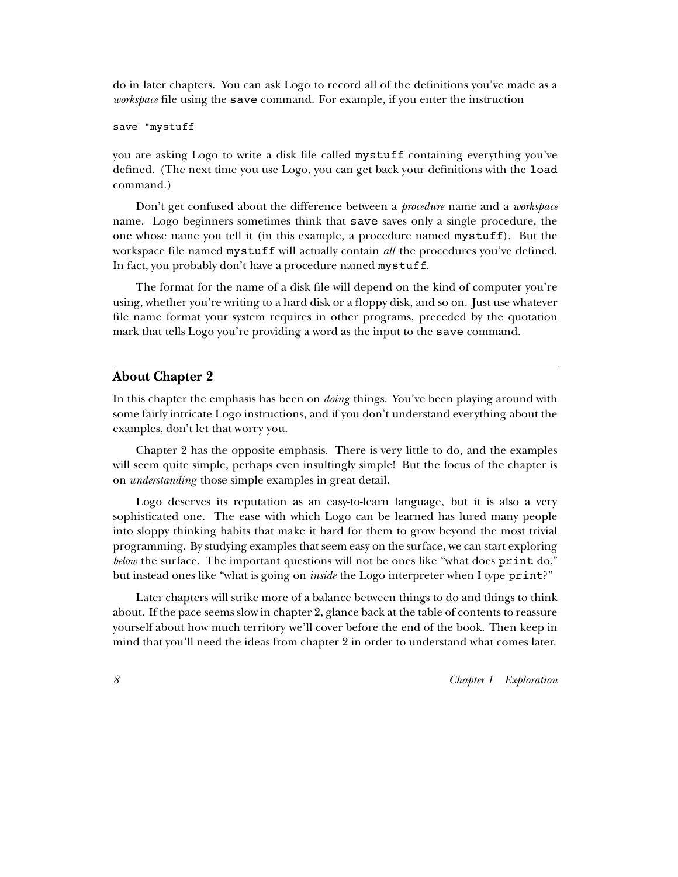workspace file using the save command. For example, if you enter the instruction do in later chapters. You can ask Logo to record all of the definitions you've made as a

```
save "mystuff
```
you are asking Logo to write a disk file called <code>mystuff</code> containing everything you've defined. (The next time you use Logo, you can get back your definitions with the <code>load</code> command.)

name. Logo beginners sometimes think that save saves only a single procedure, the one whose name you tell it (in this example, a procedure named mystuff). But the workspace file named **mystuff** will actually contain *all* the procedures you've defined. In fact, you probably don't have a procedure named mystuff. Don't get confused about the difference between a *procedure* name and a *workspace* 

mark that tells Logo you're providing a word as the input to the save command. The format for the name of a disk file will depend on the kind of computer you're using, whether you're writing to a hard disk or a floppy disk, and so on. Just use whatever file name format your system requires in other programs, preceded by the quotation

### **About Chapter 2**

In this chapter the emphasis has been on *doing* things. You've been playing around with some fairly intricate Logo instructions, and if you don't understand everything about the examples, don't let that worry you.

on *understanding* those simple examples in great detail. Chapter 2 has the opposite emphasis. There is very little to do, and the examples will seem quite simple, perhaps even insultingly simple! But the focus of the chapter is

*below* the surface. The important questions will not be ones like "what does print do," but instead ones like "what is going on *inside* the Logo interpreter when I type  $\texttt{print?}$ " Logo deserves its reputation as an easy-to-learn language, but it is also a very sophisticated one. The ease with which Logo can be learned has lured many people into sloppy thinking habits that make it hard for them to grow beyond the most trivial programming. By studying examples that seem easy on the surface, we can start exploring

Later chapters will strike more of a balance between things to do and things to think about. If the pace seems slow in chapter 2, glance back at the table of contents to reassure yourself about how much territory we'll cover before the end of the book. Then keep in mind that you'll need the ideas from chapter 2 in order to understand what comes later.